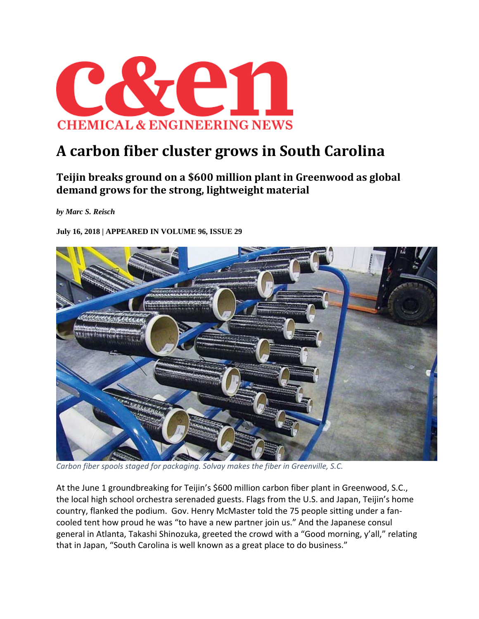

## **A carbon fiber cluster grows in South Carolina**

## **Teijin breaks ground on a \$600 million plant in Greenwood as global demand grows for the strong, lightweight material**

*by Marc S. Reisch* 

**July 16, 2018 | APPEARED IN VOLUME 96, ISSUE 29** 



*Carbon fiber spools staged for packaging. Solvay makes the fiber in Greenville, S.C.*

At the June 1 groundbreaking for Teijin's \$600 million carbon fiber plant in Greenwood, S.C., the local high school orchestra serenaded guests. Flags from the U.S. and Japan, Teijin's home country, flanked the podium. Gov. Henry McMaster told the 75 people sitting under a fan‐ cooled tent how proud he was "to have a new partner join us." And the Japanese consul general in Atlanta, Takashi Shinozuka, greeted the crowd with a "Good morning, y'all," relating that in Japan, "South Carolina is well known as a great place to do business."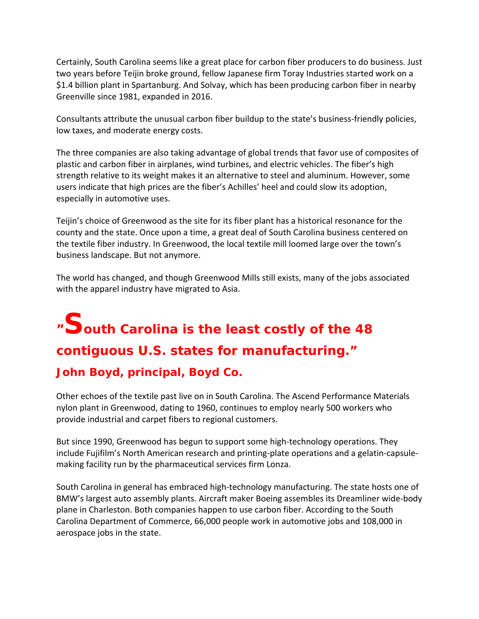Certainly, South Carolina seems like a great place for carbon fiber producers to do business. Just two years before Teijin broke ground, fellow Japanese firm Toray Industries started work on a \$1.4 billion plant in Spartanburg. And Solvay, which has been producing carbon fiber in nearby Greenville since 1981, expanded in 2016.

Consultants attribute the unusual carbon fiber buildup to the state's business‐friendly policies, low taxes, and moderate energy costs.

The three companies are also taking advantage of global trends that favor use of composites of plastic and carbon fiber in airplanes, wind turbines, and electric vehicles. The fiber's high strength relative to its weight makes it an alternative to steel and aluminum. However, some users indicate that high prices are the fiber's Achilles' heel and could slow its adoption, especially in automotive uses.

Teijin's choice of Greenwood as the site for its fiber plant has a historical resonance for the county and the state. Once upon a time, a great deal of South Carolina business centered on the textile fiber industry. In Greenwood, the local textile mill loomed large over the town's business landscape. But not anymore.

The world has changed, and though Greenwood Mills still exists, many of the jobs associated with the apparel industry have migrated to Asia.

## **"South Carolina is the least costly of the 48 contiguous U.S. states for manufacturing."**

## **John Boyd, principal, Boyd Co.**

Other echoes of the textile past live on in South Carolina. The Ascend Performance Materials nylon plant in Greenwood, dating to 1960, continues to employ nearly 500 workers who provide industrial and carpet fibers to regional customers.

But since 1990, Greenwood has begun to support some high‐technology operations. They include Fujifilm's North American research and printing‐plate operations and a gelatin‐capsule‐ making facility run by the pharmaceutical services firm Lonza.

South Carolina in general has embraced high‐technology manufacturing. The state hosts one of BMW's largest auto assembly plants. Aircraft maker Boeing assembles its Dreamliner wide‐body plane in Charleston. Both companies happen to use carbon fiber. According to the South Carolina Department of Commerce, 66,000 people work in automotive jobs and 108,000 in aerospace jobs in the state.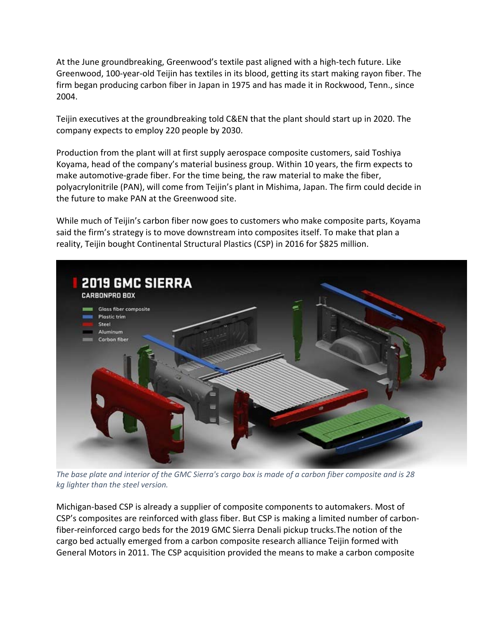At the June groundbreaking, Greenwood's textile past aligned with a high‐tech future. Like Greenwood, 100‐year‐old Teijin has textiles in its blood, getting its start making rayon fiber. The firm began producing carbon fiber in Japan in 1975 and has made it in Rockwood, Tenn., since 2004.

Teijin executives at the groundbreaking told C&EN that the plant should start up in 2020. The company expects to employ 220 people by 2030.

Production from the plant will at first supply aerospace composite customers, said Toshiya Koyama, head of the company's material business group. Within 10 years, the firm expects to make automotive‐grade fiber. For the time being, the raw material to make the fiber, polyacrylonitrile (PAN), will come from Teijin's plant in Mishima, Japan. The firm could decide in the future to make PAN at the Greenwood site.

While much of Teijin's carbon fiber now goes to customers who make composite parts, Koyama said the firm's strategy is to move downstream into composites itself. To make that plan a reality, Teijin bought Continental Structural Plastics (CSP) in 2016 for \$825 million.



The base plate and interior of the GMC Sierra's cargo box is made of a carbon fiber composite and is 28 *kg lighter than the steel version.*

Michigan‐based CSP is already a supplier of composite components to automakers. Most of CSP's composites are reinforced with glass fiber. But CSP is making a limited number of carbon‐ fiber-reinforced cargo beds for the 2019 GMC Sierra Denali pickup trucks. The notion of the cargo bed actually emerged from a carbon composite research alliance Teijin formed with General Motors in 2011. The CSP acquisition provided the means to make a carbon composite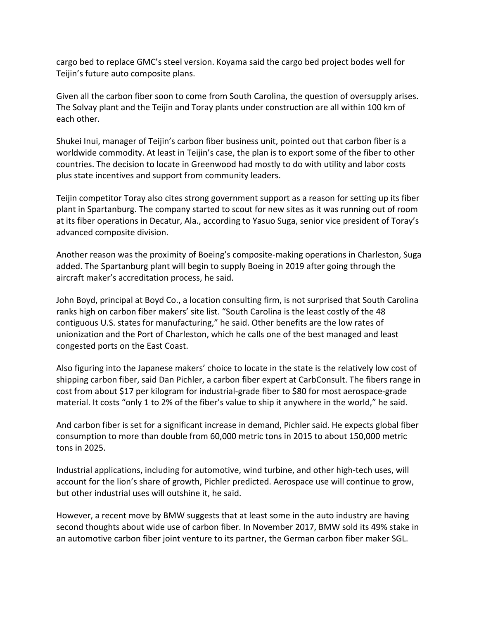cargo bed to replace GMC's steel version. Koyama said the cargo bed project bodes well for Teijin's future auto composite plans.

Given all the carbon fiber soon to come from South Carolina, the question of oversupply arises. The Solvay plant and the Teijin and Toray plants under construction are all within 100 km of each other.

Shukei Inui, manager of Teijin's carbon fiber business unit, pointed out that carbon fiber is a worldwide commodity. At least in Teijin's case, the plan is to export some of the fiber to other countries. The decision to locate in Greenwood had mostly to do with utility and labor costs plus state incentives and support from community leaders.

Teijin competitor Toray also cites strong government support as a reason for setting up its fiber plant in Spartanburg. The company started to scout for new sites as it was running out of room at its fiber operations in Decatur, Ala., according to Yasuo Suga, senior vice president of Toray's advanced composite division.

Another reason was the proximity of Boeing's composite‐making operations in Charleston, Suga added. The Spartanburg plant will begin to supply Boeing in 2019 after going through the aircraft maker's accreditation process, he said.

John Boyd, principal at Boyd Co., a location consulting firm, is not surprised that South Carolina ranks high on carbon fiber makers' site list. "South Carolina is the least costly of the 48 contiguous U.S. states for manufacturing," he said. Other benefits are the low rates of unionization and the Port of Charleston, which he calls one of the best managed and least congested ports on the East Coast.

Also figuring into the Japanese makers' choice to locate in the state is the relatively low cost of shipping carbon fiber, said Dan Pichler, a carbon fiber expert at CarbConsult. The fibers range in cost from about \$17 per kilogram for industrial‐grade fiber to \$80 for most aerospace‐grade material. It costs "only 1 to 2% of the fiber's value to ship it anywhere in the world," he said.

And carbon fiber is set for a significant increase in demand, Pichler said. He expects global fiber consumption to more than double from 60,000 metric tons in 2015 to about 150,000 metric tons in 2025.

Industrial applications, including for automotive, wind turbine, and other high‐tech uses, will account for the lion's share of growth, Pichler predicted. Aerospace use will continue to grow, but other industrial uses will outshine it, he said.

However, a recent move by BMW suggests that at least some in the auto industry are having second thoughts about wide use of carbon fiber. In November 2017, BMW sold its 49% stake in an automotive carbon fiber joint venture to its partner, the German carbon fiber maker SGL.